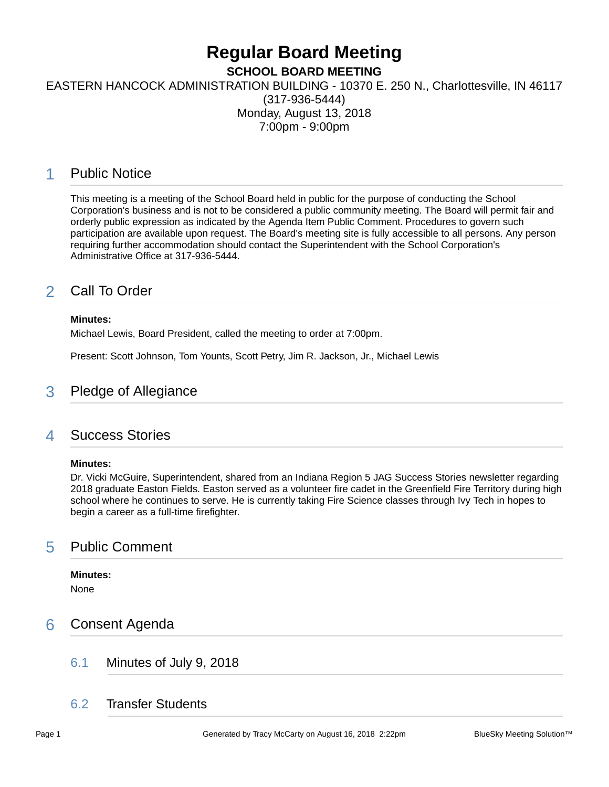# **Regular Board Meeting**

**SCHOOL BOARD MEETING**

EASTERN HANCOCK ADMINISTRATION BUILDING - 10370 E. 250 N., Charlottesville, IN 46117

(317-936-5444) Monday, August 13, 2018 7:00pm - 9:00pm

# 1 Public Notice

This meeting is a meeting of the School Board held in public for the purpose of conducting the School Corporation's business and is not to be considered a public community meeting. The Board will permit fair and orderly public expression as indicated by the Agenda Item Public Comment. Procedures to govern such participation are available upon request. The Board's meeting site is fully accessible to all persons. Any person requiring further accommodation should contact the Superintendent with the School Corporation's Administrative Office at 317-936-5444.

# 2 Call To Order

### **Minutes:**

Michael Lewis, Board President, called the meeting to order at 7:00pm.

Present: Scott Johnson, Tom Younts, Scott Petry, Jim R. Jackson, Jr., Michael Lewis

### 3 Pledge of Allegiance

### 4 Success Stories

### **Minutes:**

Dr. Vicki McGuire, Superintendent, shared from an Indiana Region 5 JAG Success Stories newsletter regarding 2018 graduate Easton Fields. Easton served as a volunteer fire cadet in the Greenfield Fire Territory during high school where he continues to serve. He is currently taking Fire Science classes through Ivy Tech in hopes to begin a career as a full-time firefighter.

### 5 Public Comment

# **Minutes:**

None

## 6 Consent Agenda

6.1 Minutes of July 9, 2018

### 6.2 Transfer Students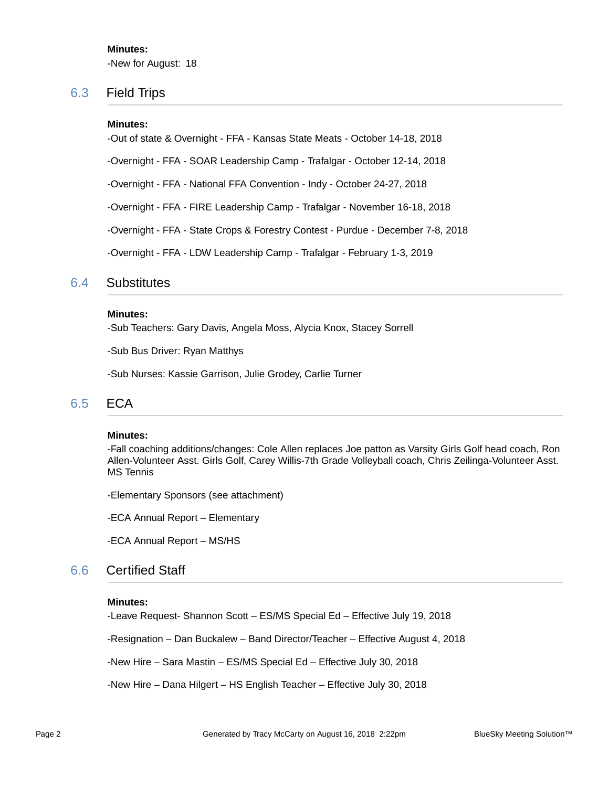**Minutes:** -New for August: 18

### 6.3 Field Trips

#### **Minutes:**

-Out of state & Overnight - FFA - Kansas State Meats - October 14-18, 2018

-Overnight - FFA - SOAR Leadership Camp - Trafalgar - October 12-14, 2018

-Overnight - FFA - National FFA Convention - Indy - October 24-27, 2018

-Overnight - FFA - FIRE Leadership Camp - Trafalgar - November 16-18, 2018

-Overnight - FFA - State Crops & Forestry Contest - Purdue - December 7-8, 2018

-Overnight - FFA - LDW Leadership Camp - Trafalgar - February 1-3, 2019

### 6.4 Substitutes

#### **Minutes:**

-Sub Teachers: Gary Davis, Angela Moss, Alycia Knox, Stacey Sorrell

-Sub Bus Driver: Ryan Matthys

-Sub Nurses: Kassie Garrison, Julie Grodey, Carlie Turner

### 6.5 ECA

#### **Minutes:**

-Fall coaching additions/changes: Cole Allen replaces Joe patton as Varsity Girls Golf head coach, Ron Allen-Volunteer Asst. Girls Golf, Carey Willis-7th Grade Volleyball coach, Chris Zeilinga-Volunteer Asst. MS Tennis

-Elementary Sponsors (see attachment)

-ECA Annual Report – Elementary

-ECA Annual Report – MS/HS

### 6.6 Certified Staff

#### **Minutes:**

-Leave Request- Shannon Scott – ES/MS Special Ed – Effective July 19, 2018

-Resignation – Dan Buckalew – Band Director/Teacher – Effective August 4, 2018

-New Hire – Sara Mastin – ES/MS Special Ed – Effective July 30, 2018

-New Hire – Dana Hilgert – HS English Teacher – Effective July 30, 2018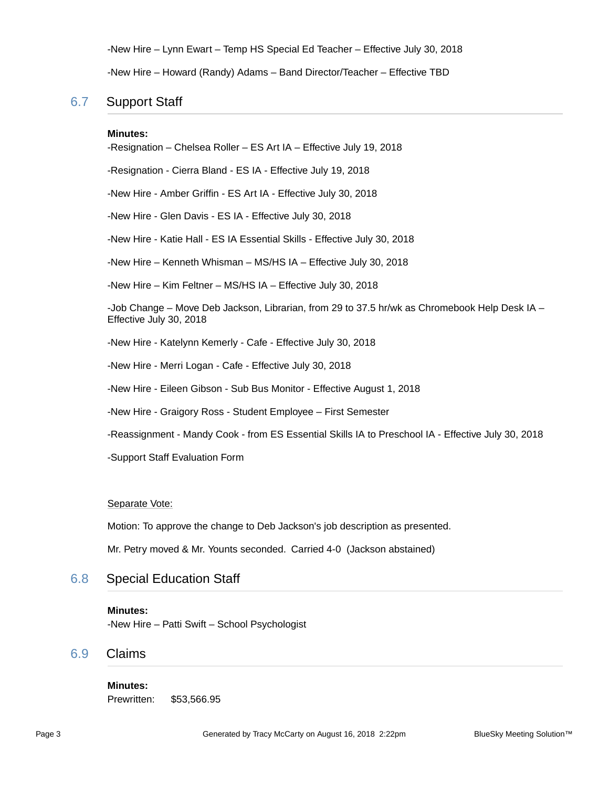-New Hire – Lynn Ewart – Temp HS Special Ed Teacher – Effective July 30, 2018

-New Hire – Howard (Randy) Adams – Band Director/Teacher – Effective TBD

### 6.7 Support Staff

#### **Minutes:**

-Resignation – Chelsea Roller – ES Art IA – Effective July 19, 2018 -Resignation - Cierra Bland - ES IA - Effective July 19, 2018 -New Hire - Amber Griffin - ES Art IA - Effective July 30, 2018 -New Hire - Glen Davis - ES IA - Effective July 30, 2018 -New Hire - Katie Hall - ES IA Essential Skills - Effective July 30, 2018 -New Hire – Kenneth Whisman – MS/HS IA – Effective July 30, 2018 -New Hire – Kim Feltner – MS/HS IA – Effective July 30, 2018 -Job Change – Move Deb Jackson, Librarian, from 29 to 37.5 hr/wk as Chromebook Help Desk IA – Effective July 30, 2018 -New Hire - Katelynn Kemerly - Cafe - Effective July 30, 2018 -New Hire - Merri Logan - Cafe - Effective July 30, 2018 -New Hire - Eileen Gibson - Sub Bus Monitor - Effective August 1, 2018 -New Hire - Graigory Ross - Student Employee – First Semester -Reassignment - Mandy Cook - from ES Essential Skills IA to Preschool IA - Effective July 30, 2018

-Support Staff Evaluation Form

Separate Vote:

Motion: To approve the change to Deb Jackson's job description as presented.

Mr. Petry moved & Mr. Younts seconded. Carried 4-0 (Jackson abstained)

6.8 Special Education Staff

#### **Minutes:**

-New Hire – Patti Swift – School Psychologist

### 6.9 Claims

**Minutes:** Prewritten: \$53,566.95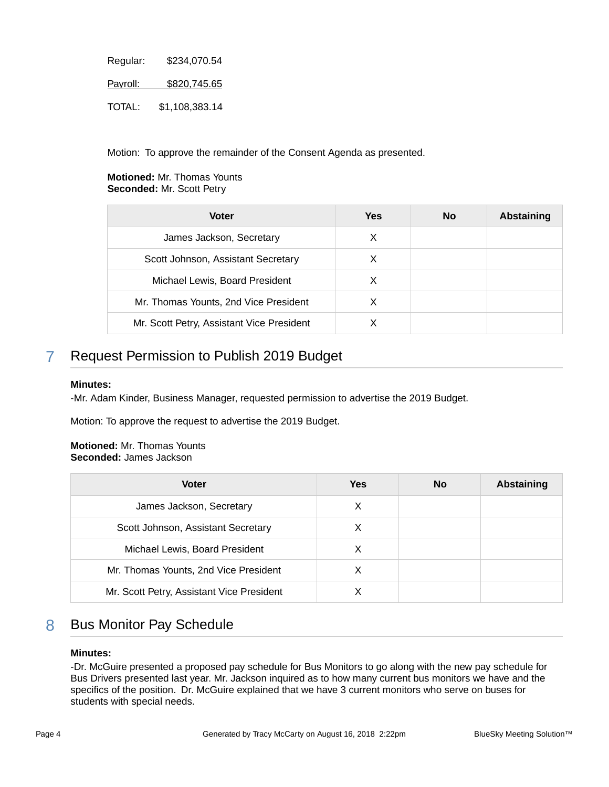| Regular:      | \$234,070.54   |
|---------------|----------------|
| Payroll:      | \$820,745.65   |
| <b>TOTAL:</b> | \$1,108,383.14 |

Motion: To approve the remainder of the Consent Agenda as presented.

### **Motioned:** Mr. Thomas Younts **Seconded:** Mr. Scott Petry

| <b>Voter</b>                              | Yes | <b>No</b> | <b>Abstaining</b> |
|-------------------------------------------|-----|-----------|-------------------|
| James Jackson, Secretary                  | X   |           |                   |
| Scott Johnson, Assistant Secretary        | X   |           |                   |
| Michael Lewis, Board President            | X   |           |                   |
| Mr. Thomas Younts, 2nd Vice President     | X   |           |                   |
| Mr. Scott Petry, Assistant Vice President |     |           |                   |

# 7 Request Permission to Publish 2019 Budget

### **Minutes:**

-Mr. Adam Kinder, Business Manager, requested permission to advertise the 2019 Budget.

Motion: To approve the request to advertise the 2019 Budget.

### **Motioned:** Mr. Thomas Younts **Seconded:** James Jackson

| <b>Voter</b>                              | Yes | <b>No</b> | <b>Abstaining</b> |
|-------------------------------------------|-----|-----------|-------------------|
| James Jackson, Secretary                  | X   |           |                   |
| Scott Johnson, Assistant Secretary        | X   |           |                   |
| Michael Lewis, Board President            | Х   |           |                   |
| Mr. Thomas Younts, 2nd Vice President     |     |           |                   |
| Mr. Scott Petry, Assistant Vice President |     |           |                   |

# 8 Bus Monitor Pay Schedule

### **Minutes:**

-Dr. McGuire presented a proposed pay schedule for Bus Monitors to go along with the new pay schedule for Bus Drivers presented last year. Mr. Jackson inquired as to how many current bus monitors we have and the specifics of the position. Dr. McGuire explained that we have 3 current monitors who serve on buses for students with special needs.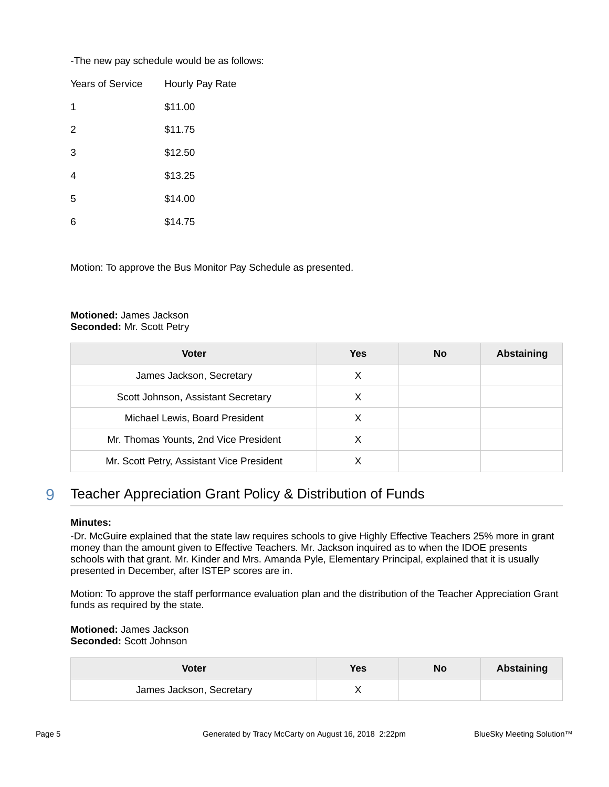-The new pay schedule would be as follows:

| Years of Service | Hourly Pay Rate |
|------------------|-----------------|
| 1                | \$11.00         |
| 2                | \$11.75         |
| 3                | \$12.50         |
| 4                | \$13.25         |
| 5                | \$14.00         |
| 6                | \$14.75         |

Motion: To approve the Bus Monitor Pay Schedule as presented.

### **Motioned:** James Jackson **Seconded:** Mr. Scott Petry

| Voter                                     | <b>Yes</b> | <b>No</b> | <b>Abstaining</b> |
|-------------------------------------------|------------|-----------|-------------------|
| James Jackson, Secretary                  | X          |           |                   |
| Scott Johnson, Assistant Secretary        | X          |           |                   |
| Michael Lewis, Board President            |            |           |                   |
| Mr. Thomas Younts, 2nd Vice President     | х          |           |                   |
| Mr. Scott Petry, Assistant Vice President |            |           |                   |

# 9 Teacher Appreciation Grant Policy & Distribution of Funds

### **Minutes:**

-Dr. McGuire explained that the state law requires schools to give Highly Effective Teachers 25% more in grant money than the amount given to Effective Teachers. Mr. Jackson inquired as to when the IDOE presents schools with that grant. Mr. Kinder and Mrs. Amanda Pyle, Elementary Principal, explained that it is usually presented in December, after ISTEP scores are in.

Motion: To approve the staff performance evaluation plan and the distribution of the Teacher Appreciation Grant funds as required by the state.

**Motioned:** James Jackson **Seconded:** Scott Johnson

| Voter                    | <b>Yes</b> | No | <b>Abstaining</b> |
|--------------------------|------------|----|-------------------|
| James Jackson, Secretary |            |    |                   |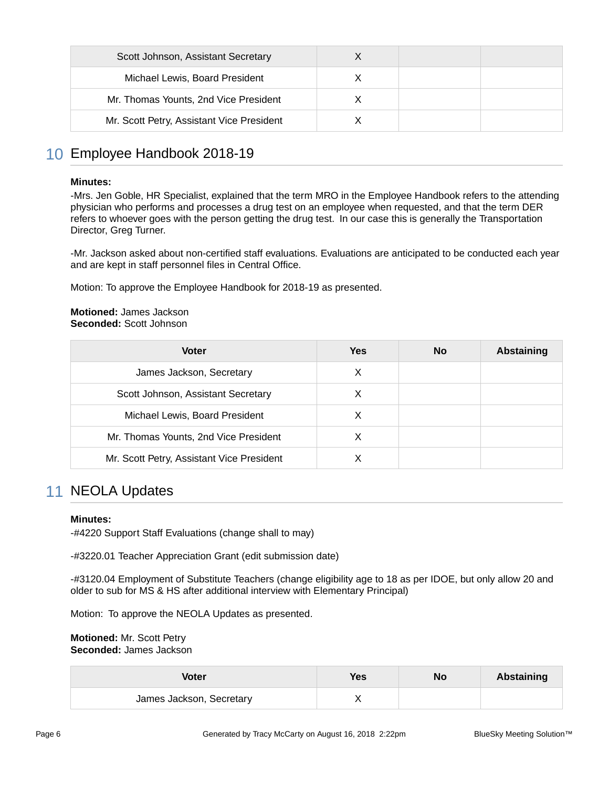| Scott Johnson, Assistant Secretary        |  |  |
|-------------------------------------------|--|--|
| Michael Lewis, Board President            |  |  |
| Mr. Thomas Younts, 2nd Vice President     |  |  |
| Mr. Scott Petry, Assistant Vice President |  |  |

### 10 Employee Handbook 2018-19

#### **Minutes:**

-Mrs. Jen Goble, HR Specialist, explained that the term MRO in the Employee Handbook refers to the attending physician who performs and processes a drug test on an employee when requested, and that the term DER refers to whoever goes with the person getting the drug test. In our case this is generally the Transportation Director, Greg Turner.

-Mr. Jackson asked about non-certified staff evaluations. Evaluations are anticipated to be conducted each year and are kept in staff personnel files in Central Office.

Motion: To approve the Employee Handbook for 2018-19 as presented.

#### **Motioned:** James Jackson **Seconded:** Scott Johnson

| <b>Voter</b>                              | Yes | No. | <b>Abstaining</b> |
|-------------------------------------------|-----|-----|-------------------|
| James Jackson, Secretary                  | X   |     |                   |
| Scott Johnson, Assistant Secretary        | X   |     |                   |
| Michael Lewis, Board President            | X   |     |                   |
| Mr. Thomas Younts, 2nd Vice President     | X   |     |                   |
| Mr. Scott Petry, Assistant Vice President |     |     |                   |

### 11 NEOLA Updates

### **Minutes:**

-#4220 Support Staff Evaluations (change shall to may)

-#3220.01 Teacher Appreciation Grant (edit submission date)

-#3120.04 Employment of Substitute Teachers (change eligibility age to 18 as per IDOE, but only allow 20 and older to sub for MS & HS after additional interview with Elementary Principal)

Motion: To approve the NEOLA Updates as presented.

**Motioned:** Mr. Scott Petry **Seconded:** James Jackson

| <b>Voter</b>             | Yes | No | Abstaining |
|--------------------------|-----|----|------------|
| James Jackson, Secretary |     |    |            |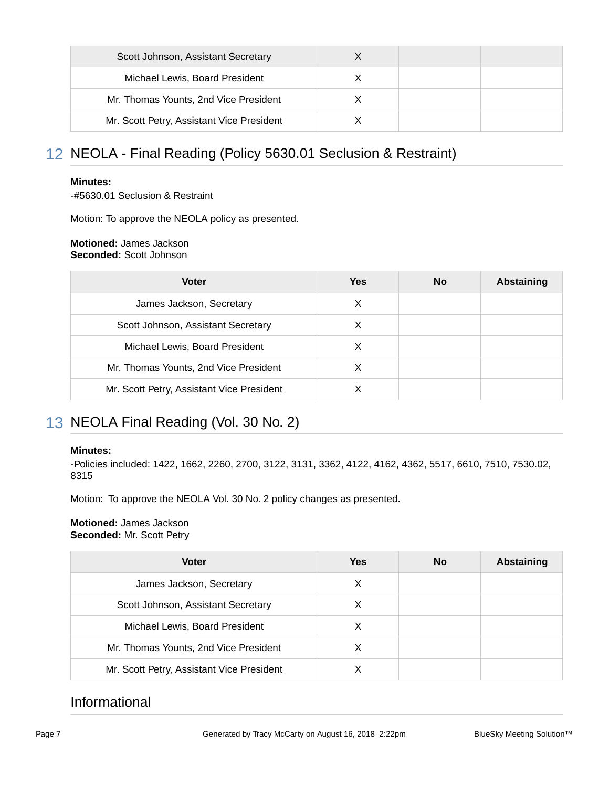| Scott Johnson, Assistant Secretary        |  |  |
|-------------------------------------------|--|--|
| Michael Lewis, Board President            |  |  |
| Mr. Thomas Younts, 2nd Vice President     |  |  |
| Mr. Scott Petry, Assistant Vice President |  |  |

# 12 NEOLA - Final Reading (Policy 5630.01 Seclusion & Restraint)

### **Minutes:**

-#5630.01 Seclusion & Restraint

Motion: To approve the NEOLA policy as presented.

#### **Motioned:** James Jackson **Seconded:** Scott Johnson

| <b>Voter</b>                              | <b>Yes</b> | <b>No</b> | Abstaining |
|-------------------------------------------|------------|-----------|------------|
| James Jackson, Secretary                  | х          |           |            |
| Scott Johnson, Assistant Secretary        | X          |           |            |
| Michael Lewis, Board President            | х          |           |            |
| Mr. Thomas Younts, 2nd Vice President     | X          |           |            |
| Mr. Scott Petry, Assistant Vice President |            |           |            |

# 13 NEOLA Final Reading (Vol. 30 No. 2)

### **Minutes:**

-Policies included: 1422, 1662, 2260, 2700, 3122, 3131, 3362, 4122, 4162, 4362, 5517, 6610, 7510, 7530.02, 8315

Motion: To approve the NEOLA Vol. 30 No. 2 policy changes as presented.

### **Motioned:** James Jackson **Seconded:** Mr. Scott Petry

| <b>Voter</b>                              | Yes | <b>No</b> | Abstaining |
|-------------------------------------------|-----|-----------|------------|
| James Jackson, Secretary                  | X   |           |            |
| Scott Johnson, Assistant Secretary        | X   |           |            |
| Michael Lewis, Board President            | X   |           |            |
| Mr. Thomas Younts, 2nd Vice President     |     |           |            |
| Mr. Scott Petry, Assistant Vice President |     |           |            |

# Informational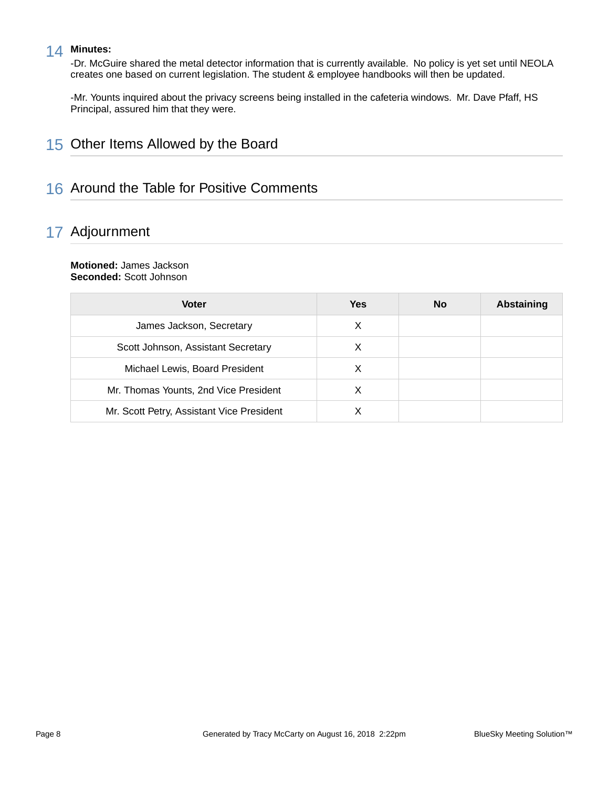### 14 **Minutes:**

-Dr. McGuire shared the metal detector information that is currently available. No policy is yet set until NEOLA creates one based on current legislation. The student & employee handbooks will then be updated.

-Mr. Younts inquired about the privacy screens being installed in the cafeteria windows. Mr. Dave Pfaff, HS Principal, assured him that they were.

# 15 Other Items Allowed by the Board

## 16 Around the Table for Positive Comments

# 17 Adjournment

#### **Motioned:** James Jackson **Seconded:** Scott Johnson

| <b>Voter</b>                              | Yes | <b>No</b> | <b>Abstaining</b> |
|-------------------------------------------|-----|-----------|-------------------|
| James Jackson, Secretary                  | X   |           |                   |
| Scott Johnson, Assistant Secretary        | X   |           |                   |
| Michael Lewis, Board President            |     |           |                   |
| Mr. Thomas Younts, 2nd Vice President     | X   |           |                   |
| Mr. Scott Petry, Assistant Vice President |     |           |                   |